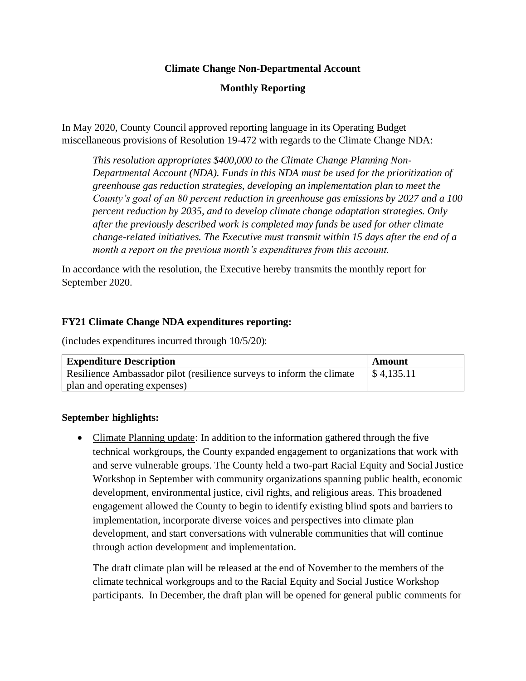# **Climate Change Non-Departmental Account**

# **Monthly Reporting**

In May 2020, County Council approved reporting language in its Operating Budget miscellaneous provisions of Resolution 19-472 with regards to the Climate Change NDA:

*This resolution appropriates \$400,000 to the Climate Change Planning Non-Departmental Account (NDA). Funds in this NDA must be used for the prioritization of greenhouse gas reduction strategies, developing an implementation plan to meet the County's goal of an 80 percent reduction in greenhouse gas emissions by 2027 and a 100 percent reduction by 2035, and to develop climate change adaptation strategies. Only after the previously described work is completed may funds be used for other climate change-related initiatives. The Executive must transmit within 15 days after the end of a month a report on the previous month's expenditures from this account.*

In accordance with the resolution, the Executive hereby transmits the monthly report for September 2020.

### **FY21 Climate Change NDA expenditures reporting:**

(includes expenditures incurred through 10/5/20):

| <b>Expenditure Description</b>                                        | Amount     |
|-----------------------------------------------------------------------|------------|
| Resilience Ambassador pilot (resilience surveys to inform the climate | \$4,135.11 |
| plan and operating expenses)                                          |            |

#### **September highlights:**

• Climate Planning update: In addition to the information gathered through the five technical workgroups, the County expanded engagement to organizations that work with and serve vulnerable groups. The County held a two-part Racial Equity and Social Justice Workshop in September with community organizations spanning public health, economic development, environmental justice, civil rights, and religious areas. This broadened engagement allowed the County to begin to identify existing blind spots and barriers to implementation, incorporate diverse voices and perspectives into climate plan development, and start conversations with vulnerable communities that will continue through action development and implementation.

The draft climate plan will be released at the end of November to the members of the climate technical workgroups and to the Racial Equity and Social Justice Workshop participants. In December, the draft plan will be opened for general public comments for